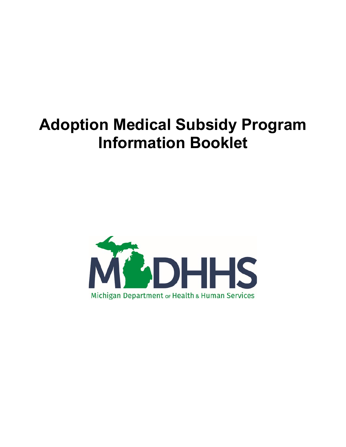# **Adoption Medical Subsidy Program Information Booklet**

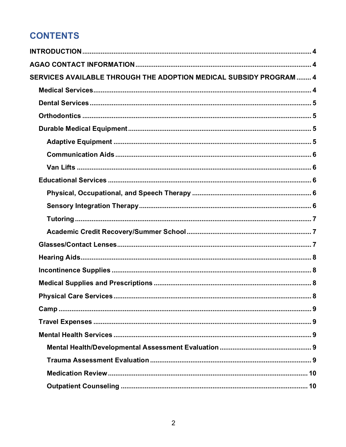## **CONTENTS**

| SERVICES AVAILABLE THROUGH THE ADOPTION MEDICAL SUBSIDY PROGRAM  4 |  |
|--------------------------------------------------------------------|--|
|                                                                    |  |
|                                                                    |  |
|                                                                    |  |
|                                                                    |  |
|                                                                    |  |
|                                                                    |  |
|                                                                    |  |
|                                                                    |  |
|                                                                    |  |
|                                                                    |  |
|                                                                    |  |
|                                                                    |  |
|                                                                    |  |
|                                                                    |  |
|                                                                    |  |
|                                                                    |  |
|                                                                    |  |
|                                                                    |  |
|                                                                    |  |
|                                                                    |  |
|                                                                    |  |
|                                                                    |  |
|                                                                    |  |
|                                                                    |  |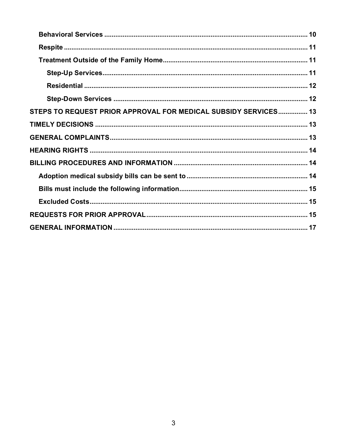<span id="page-2-0"></span>

| STEPS TO REQUEST PRIOR APPROVAL FOR MEDICAL SUBSIDY SERVICES 13 |  |
|-----------------------------------------------------------------|--|
|                                                                 |  |
|                                                                 |  |
|                                                                 |  |
|                                                                 |  |
|                                                                 |  |
|                                                                 |  |
|                                                                 |  |
|                                                                 |  |
|                                                                 |  |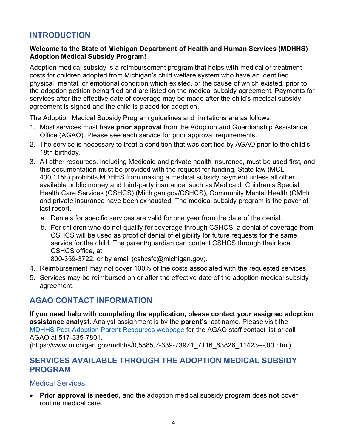## **INTRODUCTION**

#### **Welcome to the State of Michigan Department of Health and Human Services (MDHHS) Adoption Medical Subsidy Program!**

Adoption medical subsidy is a reimbursement program that helps with medical or treatment costs for children adopted from Michigan's child welfare system who have an identified physical, mental, or emotional condition which existed, or the cause of which existed, prior to the adoption petition being filed and are listed on the medical subsidy agreement. Payments for services after the effective date of coverage may be made after the child's medical subsidy agreement is signed and the child is placed for adoption.

The Adoption Medical Subsidy Program guidelines and limitations are as follows:

- 1. Most services must have **prior approval** from the Adoption and Guardianship Assistance Office (AGAO). Please see each service for prior approval requirements.
- 2. The service is necessary to treat a condition that was certified by AGAO prior to the child's 18th birthday.
- 3. All other resources, including Medicaid and private health insurance, must be used first, and this documentation must be provided with the request for funding. State law (MCL 400.115h) prohibits MDHHS from making a medical subsidy payment unless all other available public money and third-party insurance, such as Medicaid, Children's Special Health Care Services (CSHCS) (Michigan.gov/CSHCS), Community Mental Health (CMH) and private insurance have been exhausted. The medical subsidy program is the payer of last resort.
	- a. Denials for specific services are valid for one year from the date of the denial.
	- b. For children who do not qualify for coverage through CSHCS, a denial of coverage from CSHCS will be used as proof of denial of eligibility for future requests for the same service for the child. The parent/guardian can contact CSHCS through their local CSHCS office, at

800-359-3722, or by email (cshcsfc@michigan.gov).

- 4. Reimbursement may not cover 100% of the costs associated with the requested services.
- 5. Services may be reimbursed on or after the effective date of the adoption medical subsidy agreement.

## <span id="page-3-0"></span>**AGAO CONTACT INFORMATION**

**If you need help with completing the application, please contact your assigned adoption assistance analyst.** Analyst assignment is by the **parent's** last name. Please visit the [MDHHS Post-Adoption Parent Resources webpage](https://www.michigan.gov/mdhhs/adult-child-serv/adoption/post-adoption-resources/post-adopt-assist) for the AGAO staff contact list or call AGAO at 517-335-7801.

(https://www.michigan.gov/mdhhs/0,5885,7-339-73971\_7116\_63826\_11423---,00.html).

## <span id="page-3-1"></span>**SERVICES AVAILABLE THROUGH THE ADOPTION MEDICAL SUBSIDY PROGRAM**

#### <span id="page-3-2"></span>Medical Services

• **Prior approval is needed,** and the adoption medical subsidy program does **not** cover routine medical care.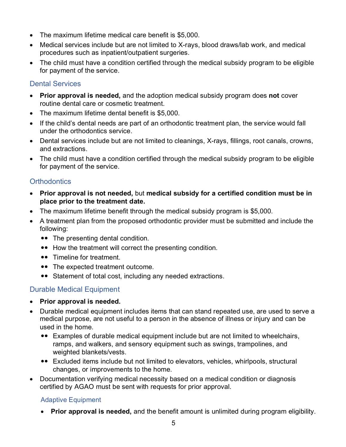- The maximum lifetime medical care benefit is \$5,000.
- Medical services include but are not limited to X-rays, blood draws/lab work, and medical procedures such as inpatient/outpatient surgeries.
- The child must have a condition certified through the medical subsidy program to be eligible for payment of the service.

#### <span id="page-4-0"></span>Dental Services

- **Prior approval is needed,** and the adoption medical subsidy program does **not** cover routine dental care or cosmetic treatment.
- The maximum lifetime dental benefit is \$5,000.
- If the child's dental needs are part of an orthodontic treatment plan, the service would fall under the orthodontics service.
- Dental services include but are not limited to cleanings, X-rays, fillings, root canals, crowns, and extractions.
- The child must have a condition certified through the medical subsidy program to be eligible for payment of the service.

## <span id="page-4-1"></span>**Orthodontics**

- **Prior approval is not needed,** but **medical subsidy for a certified condition must be in place prior to the treatment date.**
- The maximum lifetime benefit through the medical subsidy program is \$5,000.
- A treatment plan from the proposed orthodontic provider must be submitted and include the following:
	- The presenting dental condition.
	- How the treatment will correct the presenting condition.
	- •• Timeline for treatment.
	- The expected treatment outcome.
	- Statement of total cost, including any needed extractions.

## <span id="page-4-2"></span>Durable Medical Equipment

- **Prior approval is needed.**
- Durable medical equipment includes items that can stand repeated use, are used to serve a medical purpose, are not useful to a person in the absence of illness or injury and can be used in the home.
	- Examples of durable medical equipment include but are not limited to wheelchairs, ramps, and walkers, and sensory equipment such as swings, trampolines, and weighted blankets/vests.
	- Excluded items include but not limited to elevators, vehicles, whirlpools, structural changes, or improvements to the home.
- Documentation verifying medical necessity based on a medical condition or diagnosis certified by AGAO must be sent with requests for prior approval.

## <span id="page-4-3"></span>Adaptive Equipment

• **Prior approval is needed,** and the benefit amount is unlimited during program eligibility.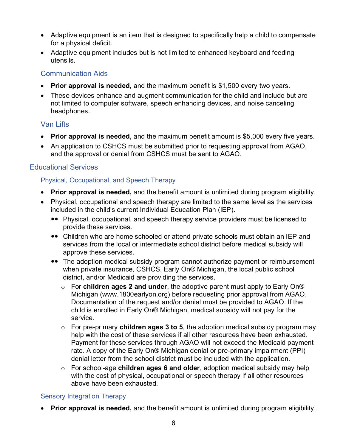- Adaptive equipment is an item that is designed to specifically help a child to compensate for a physical deficit.
- Adaptive equipment includes but is not limited to enhanced keyboard and feeding utensils.

#### <span id="page-5-0"></span>Communication Aids

- **Prior approval is needed,** and the maximum benefit is \$1,500 every two years.
- These devices enhance and augment communication for the child and include but are not limited to computer software, speech enhancing devices, and noise canceling headphones.

## <span id="page-5-1"></span>Van Lifts

- **Prior approval is needed,** and the maximum benefit amount is \$5,000 every five years.
- An application to CSHCS must be submitted prior to requesting approval from AGAO, and the approval or denial from CSHCS must be sent to AGAO.

## <span id="page-5-2"></span>Educational Services

#### <span id="page-5-3"></span>Physical, Occupational, and Speech Therapy

- **Prior approval is needed,** and the benefit amount is unlimited during program eligibility.
- Physical, occupational and speech therapy are limited to the same level as the services included in the child's current Individual Education Plan (IEP).
	- Physical, occupational, and speech therapy service providers must be licensed to provide these services.
	- Children who are home schooled or attend private schools must obtain an IEP and services from the local or intermediate school district before medical subsidy will approve these services.
	- The adoption medical subsidy program cannot authorize payment or reimbursement when private insurance, CSHCS, Early On® Michigan, the local public school district, and/or Medicaid are providing the services.
		- o For **children ages 2 and under**, the adoptive parent must apply to Early On® Michigan (www.1800earlyon.org) before requesting prior approval from AGAO. Documentation of the request and/or denial must be provided to AGAO. If the child is enrolled in Early On® Michigan, medical subsidy will not pay for the service.
		- o For pre-primary **children ages 3 to 5**, the adoption medical subsidy program may help with the cost of these services if all other resources have been exhausted. Payment for these services through AGAO will not exceed the Medicaid payment rate. A copy of the Early On® Michigan denial or pre-primary impairment (PPI) denial letter from the school district must be included with the application.
		- o For school-age **children ages 6 and older**, adoption medical subsidy may help with the cost of physical, occupational or speech therapy if all other resources above have been exhausted.

#### <span id="page-5-4"></span>Sensory Integration Therapy

• **Prior approval is needed,** and the benefit amount is unlimited during program eligibility.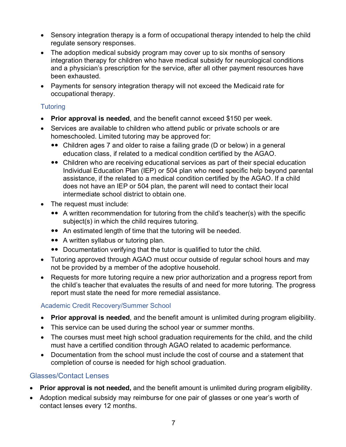- Sensory integration therapy is a form of occupational therapy intended to help the child regulate sensory responses.
- The adoption medical subsidy program may cover up to six months of sensory integration therapy for children who have medical subsidy for neurological conditions and a physician's prescription for the service, after all other payment resources have been exhausted.
- Payments for sensory integration therapy will not exceed the Medicaid rate for occupational therapy.

## <span id="page-6-0"></span>**Tutoring**

- **Prior approval is needed**, and the benefit cannot exceed \$150 per week.
- Services are available to children who attend public or private schools or are homeschooled. Limited tutoring may be approved for:
	- Children ages 7 and older to raise a failing grade (D or below) in a general education class, if related to a medical condition certified by the AGAO.
	- Children who are receiving educational services as part of their special education Individual Education Plan (IEP) or 504 plan who need specific help beyond parental assistance, if the related to a medical condition certified by the AGAO. If a child does not have an IEP or 504 plan, the parent will need to contact their local intermediate school district to obtain one.
- The request must include:
	- A written recommendation for tutoring from the child's teacher(s) with the specific subject(s) in which the child requires tutoring.
	- An estimated length of time that the tutoring will be needed.
	- A written syllabus or tutoring plan.
	- Documentation verifying that the tutor is qualified to tutor the child.
- Tutoring approved through AGAO must occur outside of regular school hours and may not be provided by a member of the adoptive household.
- Requests for more tutoring require a new prior authorization and a progress report from the child's teacher that evaluates the results of and need for more tutoring. The progress report must state the need for more remedial assistance.

#### <span id="page-6-1"></span>Academic Credit Recovery/Summer School

- **Prior approval is needed**, and the benefit amount is unlimited during program eligibility.
- This service can be used during the school year or summer months.
- The courses must meet high school graduation requirements for the child, and the child must have a certified condition through AGAO related to academic performance.
- Documentation from the school must include the cost of course and a statement that completion of course is needed for high school graduation.

#### <span id="page-6-2"></span>Glasses/Contact Lenses

- **Prior approval is not needed,** and the benefit amount is unlimited during program eligibility.
- Adoption medical subsidy may reimburse for one pair of glasses or one year's worth of contact lenses every 12 months.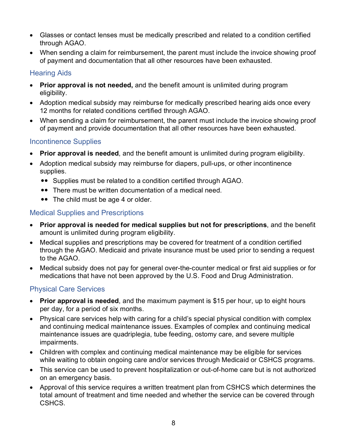- Glasses or contact lenses must be medically prescribed and related to a condition certified through AGAO.
- When sending a claim for reimbursement, the parent must include the invoice showing proof of payment and documentation that all other resources have been exhausted.

## <span id="page-7-0"></span>Hearing Aids

- **Prior approval is not needed,** and the benefit amount is unlimited during program eligibility.
- Adoption medical subsidy may reimburse for medically prescribed hearing aids once every 12 months for related conditions certified through AGAO.
- When sending a claim for reimbursement, the parent must include the invoice showing proof of payment and provide documentation that all other resources have been exhausted.

## <span id="page-7-1"></span>Incontinence Supplies

- **Prior approval is needed**, and the benefit amount is unlimited during program eligibility.
- Adoption medical subsidy may reimburse for diapers, pull-ups, or other incontinence supplies.
	- Supplies must be related to a condition certified through AGAO.
	- There must be written documentation of a medical need.
	- •• The child must be age 4 or older.

#### <span id="page-7-2"></span>Medical Supplies and Prescriptions

- **Prior approval is needed for medical supplies but not for prescriptions**, and the benefit amount is unlimited during program eligibility.
- Medical supplies and prescriptions may be covered for treatment of a condition certified through the AGAO. Medicaid and private insurance must be used prior to sending a request to the AGAO
- Medical subsidy does not pay for general over-the-counter medical or first aid supplies or for medications that have not been approved by the U.S. Food and Drug Administration.

## <span id="page-7-3"></span>Physical Care Services

- **Prior approval is needed**, and the maximum payment is \$15 per hour, up to eight hours per day, for a period of six months.
- Physical care services help with caring for a child's special physical condition with complex and continuing medical maintenance issues. Examples of complex and continuing medical maintenance issues are quadriplegia, tube feeding, ostomy care, and severe multiple impairments.
- Children with complex and continuing medical maintenance may be eligible for services while waiting to obtain ongoing care and/or services through Medicaid or CSHCS programs.
- This service can be used to prevent hospitalization or out-of-home care but is not authorized on an emergency basis.
- Approval of this service requires a written treatment plan from CSHCS which determines the total amount of treatment and time needed and whether the service can be covered through CSHCS.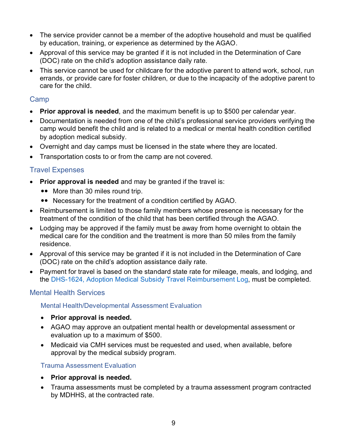- The service provider cannot be a member of the adoptive household and must be qualified by education, training, or experience as determined by the AGAO.
- Approval of this service may be granted if it is not included in the Determination of Care (DOC) rate on the child's adoption assistance daily rate.
- This service cannot be used for childcare for the adoptive parent to attend work, school, run errands, or provide care for foster children, or due to the incapacity of the adoptive parent to care for the child.

## <span id="page-8-0"></span>Camp

- **Prior approval is needed**, and the maximum benefit is up to \$500 per calendar year.
- Documentation is needed from one of the child's professional service providers verifying the camp would benefit the child and is related to a medical or mental health condition certified by adoption medical subsidy.
- Overnight and day camps must be licensed in the state where they are located.
- Transportation costs to or from the camp are not covered.

## <span id="page-8-1"></span>Travel Expenses

- **Prior approval is needed** and may be granted if the travel is:
	- More than 30 miles round trip.
	- Necessary for the treatment of a condition certified by AGAO.
- Reimbursement is limited to those family members whose presence is necessary for the treatment of the condition of the child that has been certified through the AGAO.
- Lodging may be approved if the family must be away from home overnight to obtain the medical care for the condition and the treatment is more than 50 miles from the family residence.
- Approval of this service may be granted if it is not included in the Determination of Care (DOC) rate on the child's adoption assistance daily rate.
- Payment for travel is based on the standard state rate for mileage, meals, and lodging, and the [DHS-1624, Adoption Medical Subsidy Travel Reimbursement Log,](https://www.michigan.gov/documents/dhs/5e7361624_448636_7.doc) must be completed.

## <span id="page-8-2"></span>Mental Health Services

<span id="page-8-3"></span>Mental Health/Developmental Assessment Evaluation

- **Prior approval is needed.**
- AGAO may approve an outpatient mental health or developmental assessment or evaluation up to a maximum of \$500.
- Medicaid via CMH services must be requested and used, when available, before approval by the medical subsidy program.

## <span id="page-8-4"></span>Trauma Assessment Evaluation

- **Prior approval is needed.**
- Trauma assessments must be completed by a trauma assessment program contracted by MDHHS, at the contracted rate.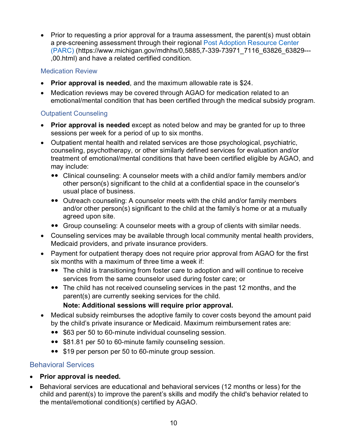• Prior to requesting a prior approval for a trauma assessment, the parent(s) must obtain a pre-screening assessment through their regional [Post Adoption Resource Center](https://www.michigan.gov/mdhhs/0,5885,7-339-73971_7116_63826_63829---,00.html)  [\(PARC\)](https://www.michigan.gov/mdhhs/0,5885,7-339-73971_7116_63826_63829---,00.html) (https://www.michigan.gov/mdhhs/0,5885,7-339-73971\_7116\_63826\_63829--- ,00.html) and have a related certified condition.

#### <span id="page-9-0"></span>Medication Review

- **Prior approval is needed**, and the maximum allowable rate is \$24.
- Medication reviews may be covered through AGAO for medication related to an emotional/mental condition that has been certified through the medical subsidy program.

#### <span id="page-9-1"></span>Outpatient Counseling

- **Prior approval is needed** except as noted below and may be granted for up to three sessions per week for a period of up to six months.
- Outpatient mental health and related services are those psychological, psychiatric, counseling, psychotherapy, or other similarly defined services for evaluation and/or treatment of emotional/mental conditions that have been certified eligible by AGAO, and may include:
	- Clinical counseling: A counselor meets with a child and/or family members and/or other person(s) significant to the child at a confidential space in the counselor's usual place of business.
	- Outreach counseling: A counselor meets with the child and/or family members and/or other person(s) significant to the child at the family's home or at a mutually agreed upon site.
	- Group counseling: A counselor meets with a group of clients with similar needs.
- Counseling services may be available through local community mental health providers, Medicaid providers, and private insurance providers.
- Payment for outpatient therapy does not require prior approval from AGAO for the first six months with a maximum of three time a week if:
	- The child is transitioning from foster care to adoption and will continue to receive services from the same counselor used during foster care; or
	- The child has not received counseling services in the past 12 months, and the parent(s) are currently seeking services for the child.

#### **Note: Additional sessions will require prior approval.**

- Medical subsidy reimburses the adoptive family to cover costs beyond the amount paid by the child's private insurance or Medicaid. Maximum reimbursement rates are:
	- \$63 per 50 to 60-minute individual counseling session.
	- \$81.81 per 50 to 60-minute family counseling session.
	- \$19 per person per 50 to 60-minute group session.

## <span id="page-9-2"></span>Behavioral Services

- **Prior approval is needed.**
- Behavioral services are educational and behavioral services (12 months or less) for the child and parent(s) to improve the parent's skills and modify the child's behavior related to the mental/emotional condition(s) certified by AGAO.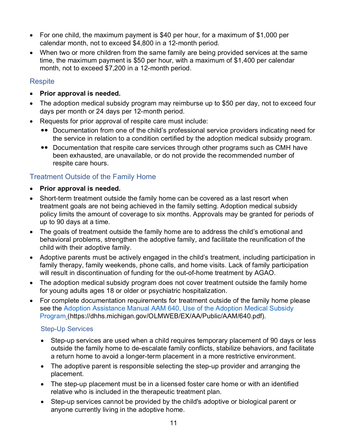- For one child, the maximum payment is \$40 per hour, for a maximum of \$1,000 per calendar month, not to exceed \$4,800 in a 12-month period.
- When two or more children from the same family are being provided services at the same time, the maximum payment is \$50 per hour, with a maximum of \$1,400 per calendar month, not to exceed \$7,200 in a 12-month period.

## <span id="page-10-0"></span>**Respite**

- **Prior approval is needed.**
- The adoption medical subsidy program may reimburse up to \$50 per day, not to exceed four days per month or 24 days per 12-month period.
- Requests for prior approval of respite care must include:
	- Documentation from one of the child's professional service providers indicating need for the service in relation to a condition certified by the adoption medical subsidy program.
	- Documentation that respite care services through other programs such as CMH have been exhausted, are unavailable, or do not provide the recommended number of respite care hours.

## <span id="page-10-1"></span>Treatment Outside of the Family Home

- **Prior approval is needed.**
- Short-term treatment outside the family home can be covered as a last resort when treatment goals are not being achieved in the family setting. Adoption medical subsidy policy limits the amount of coverage to six months. Approvals may be granted for periods of up to 90 days at a time.
- The goals of treatment outside the family home are to address the child's emotional and behavioral problems, strengthen the adoptive family, and facilitate the reunification of the child with their adoptive family.
- Adoptive parents must be actively engaged in the child's treatment, including participation in family therapy, family weekends, phone calls, and home visits. Lack of family participation will result in discontinuation of funding for the out-of-home treatment by AGAO.
- The adoption medical subsidy program does not cover treatment outside the family home for young adults ages 18 or older or psychiatric hospitalization.
- For complete documentation requirements for treatment outside of the family home please see the [Adoption Assistance Manual AAM 640, Use of the Adoption Medical Subsidy](https://dhhs.michigan.gov/OLMWEB/EX/AA/Public/AAM/640.pdf)  [Program](https://dhhs.michigan.gov/OLMWEB/EX/AA/Public/AAM/640.pdf) (https://dhhs.michigan.gov/OLMWEB/EX/AA/Public/AAM/640.pdf).

#### <span id="page-10-2"></span>Step-Up Services

- Step-up services are used when a child requires temporary placement of 90 days or less outside the family home to de-escalate family conflicts, stabilize behaviors, and facilitate a return home to avoid a longer-term placement in a more restrictive environment.
- The adoptive parent is responsible selecting the step-up provider and arranging the placement.
- The step-up placement must be in a licensed foster care home or with an identified relative who is included in the therapeutic treatment plan.
- Step-up services cannot be provided by the child's adoptive or biological parent or anyone currently living in the adoptive home.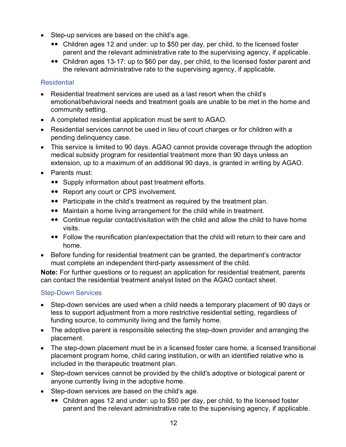- Step-up services are based on the child's age.
	- Children ages 12 and under: up to \$50 per day, per child, to the licensed foster parent and the relevant administrative rate to the supervising agency, if applicable.
	- Children ages 13-17: up to \$60 per day, per child, to the licensed foster parent and the relevant administrative rate to the supervising agency, if applicable.

#### <span id="page-11-0"></span>**Residential**

- Residential treatment services are used as a last resort when the child's emotional/behavioral needs and treatment goals are unable to be met in the home and community setting.
- A completed residential application must be sent to AGAO.
- Residential services cannot be used in lieu of court charges or for children with a pending delinquency case.
- This service is limited to 90 days. AGAO cannot provide coverage through the adoption medical subsidy program for residential treatment more than 90 days unless an extension, up to a maximum of an additional 90 days, is granted in writing by AGAO.
- Parents must:
	- Supply information about past treatment efforts.
	- Report any court or CPS involvement.
	- Participate in the child's treatment as required by the treatment plan.
	- Maintain a home living arrangement for the child while in treatment.
	- Continue regular contact/visitation with the child and allow the child to have home visits.
	- Follow the reunification plan/expectation that the child will return to their care and home.
- Before funding for residential treatment can be granted, the department's contractor must complete an independent third-party assessment of the child.

**Note:** For further questions or to request an application for residential treatment, parents can contact the residential treatment analyst listed on the AGAO contact sheet.

## <span id="page-11-1"></span>Step-Down Services

- Step-down services are used when a child needs a temporary placement of 90 days or less to support adjustment from a more restrictive residential setting, regardless of funding source, to community living and the family home.
- The adoptive parent is responsible selecting the step-down provider and arranging the placement.
- The step-down placement must be in a licensed foster care home, a licensed transitional placement program home, child caring institution, or with an identified relative who is included in the therapeutic treatment plan.
- Step-down services cannot be provided by the child's adoptive or biological parent or anyone currently living in the adoptive home.
- Step-down services are based on the child's age.
	- Children ages 12 and under: up to \$50 per day, per child, to the licensed foster parent and the relevant administrative rate to the supervising agency, if applicable.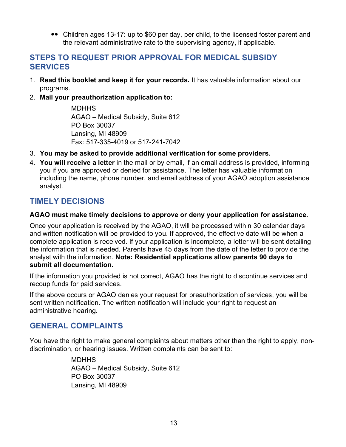• Children ages 13-17: up to \$60 per day, per child, to the licensed foster parent and the relevant administrative rate to the supervising agency, if applicable.

## <span id="page-12-0"></span>**STEPS TO REQUEST PRIOR APPROVAL FOR MEDICAL SUBSIDY SERVICES**

- 1. **Read this booklet and keep it for your records.** It has valuable information about our programs.
- 2. **Mail your preauthorization application to:**

**MDHHS** AGAO – Medical Subsidy, Suite 612 PO Box 30037 Lansing, MI 48909 Fax: 517-335-4019 or 517-241-7042

- 3. **You may be asked to provide additional verification for some providers.**
- 4. **You will receive a letter** in the mail or by email, if an email address is provided, informing you if you are approved or denied for assistance. The letter has valuable information including the name, phone number, and email address of your AGAO adoption assistance analyst.

## <span id="page-12-1"></span>**TIMELY DECISIONS**

#### **AGAO must make timely decisions to approve or deny your application for assistance.**

Once your application is received by the AGAO, it will be processed within 30 calendar days and written notification will be provided to you. If approved, the effective date will be when a complete application is received. If your application is incomplete, a letter will be sent detailing the information that is needed. Parents have 45 days from the date of the letter to provide the analyst with the information. **Note: Residential applications allow parents 90 days to submit all documentation.**

If the information you provided is not correct, AGAO has the right to discontinue services and recoup funds for paid services.

If the above occurs or AGAO denies your request for preauthorization of services, you will be sent written notification. The written notification will include your right to request an administrative hearing.

## <span id="page-12-2"></span>**GENERAL COMPLAINTS**

You have the right to make general complaints about matters other than the right to apply, nondiscrimination, or hearing issues. Written complaints can be sent to:

> <span id="page-12-3"></span>**MDHHS** AGAO – Medical Subsidy, Suite 612 PO Box 30037 Lansing, MI 48909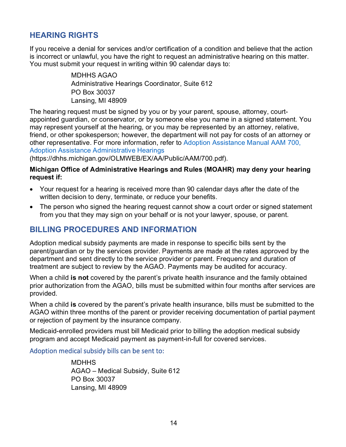## **HEARING RIGHTS**

If you receive a denial for services and/or certification of a condition and believe that the action is incorrect or unlawful, you have the right to request an administrative hearing on this matter. You must submit your request in writing within 90 calendar days to:

> MDHHS AGAO Administrative Hearings Coordinator, Suite 612 PO Box 30037 Lansing, MI 48909

The hearing request must be signed by you or by your parent, spouse, attorney, courtappointed guardian, or conservator, or by someone else you name in a signed statement. You may represent yourself at the hearing, or you may be represented by an attorney, relative, friend, or other spokesperson; however, the department will not pay for costs of an attorney or other representative. For more information, refer to [Adoption Assistance Manual AAM 700,](https://dhhs.michigan.gov/OLMWEB/EX/AA/Public/AAM/700.pdf)  [Adoption Assistance Administrative Hearings](https://dhhs.michigan.gov/OLMWEB/EX/AA/Public/AAM/700.pdf)

(https://dhhs.michigan.gov/OLMWEB/EX/AA/Public/AAM/700.pdf).

#### **Michigan Office of Administrative Hearings and Rules (MOAHR) may deny your hearing request if:**

- Your request for a hearing is received more than 90 calendar days after the date of the written decision to deny, terminate, or reduce your benefits.
- The person who signed the hearing request cannot show a court order or signed statement from you that they may sign on your behalf or is not your lawyer, spouse, or parent.

## <span id="page-13-0"></span>**BILLING PROCEDURES AND INFORMATION**

Adoption medical subsidy payments are made in response to specific bills sent by the parent/guardian or by the services provider. Payments are made at the rates approved by the department and sent directly to the service provider or parent. Frequency and duration of treatment are subject to review by the AGAO. Payments may be audited for accuracy.

When a child **is not** covered by the parent's private health insurance and the family obtained prior authorization from the AGAO, bills must be submitted within four months after services are provided.

When a child **is** covered by the parent's private health insurance, bills must be submitted to the AGAO within three months of the parent or provider receiving documentation of partial payment or rejection of payment by the insurance company.

Medicaid-enrolled providers must bill Medicaid prior to billing the adoption medical subsidy program and accept Medicaid payment as payment-in-full for covered services.

<span id="page-13-2"></span><span id="page-13-1"></span>Adoption medical subsidy bills can be sent to:

MDHHS AGAO – Medical Subsidy, Suite 612 PO Box 30037 Lansing, MI 48909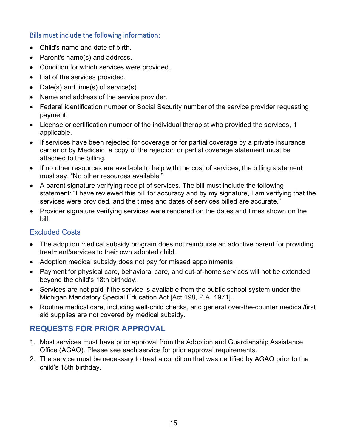#### Bills must include the following information:

- Child's name and date of birth.
- Parent's name(s) and address.
- Condition for which services were provided.
- List of the services provided.
- Date(s) and time(s) of service(s).
- Name and address of the service provider.
- Federal identification number or Social Security number of the service provider requesting payment.
- License or certification number of the individual therapist who provided the services, if applicable.
- If services have been rejected for coverage or for partial coverage by a private insurance carrier or by Medicaid, a copy of the rejection or partial coverage statement must be attached to the billing.
- If no other resources are available to help with the cost of services, the billing statement must say, "No other resources available."
- A parent signature verifying receipt of services. The bill must include the following statement: "I have reviewed this bill for accuracy and by my signature, I am verifying that the services were provided, and the times and dates of services billed are accurate."
- Provider signature verifying services were rendered on the dates and times shown on the bill.

## <span id="page-14-0"></span>Excluded Costs

- The adoption medical subsidy program does not reimburse an adoptive parent for providing treatment/services to their own adopted child.
- Adoption medical subsidy does not pay for missed appointments.
- Payment for physical care, behavioral care, and out-of-home services will not be extended beyond the child's 18th birthday.
- Services are not paid if the service is available from the public school system under the Michigan Mandatory Special Education Act [Act 198, P.A. 1971].
- Routine medical care, including well-child checks, and general over-the-counter medical/first aid supplies are not covered by medical subsidy.

## <span id="page-14-1"></span>**REQUESTS FOR PRIOR APPROVAL**

- 1. Most services must have prior approval from the Adoption and Guardianship Assistance Office (AGAO). Please see each service for prior approval requirements.
- 2. The service must be necessary to treat a condition that was certified by AGAO prior to the child's 18th birthday.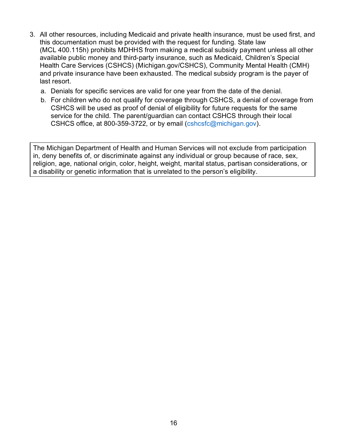- 3. All other resources, including Medicaid and private health insurance, must be used first, and this documentation must be provided with the request for funding. State law (MCL 400.115h) prohibits MDHHS from making a medical subsidy payment unless all other available public money and third-party insurance, such as Medicaid, Children's Special Health Care Services (CSHCS) (Michigan.gov/CSHCS), Community Mental Health (CMH) and private insurance have been exhausted. The medical subsidy program is the payer of last resort.
	- a. Denials for specific services are valid for one year from the date of the denial.
	- b. For children who do not qualify for coverage through CSHCS, a denial of coverage from CSHCS will be used as proof of denial of eligibility for future requests for the same service for the child. The parent/guardian can contact CSHCS through their local CSHCS office, at 800-359-3722, or by email  $(cshcsfc@michigan.gov)$ .

The Michigan Department of Health and Human Services will not exclude from participation in, deny benefits of, or discriminate against any individual or group because of race, sex, religion, age, national origin, color, height, weight, marital status, partisan considerations, or a disability or genetic information that is unrelated to the person's eligibility.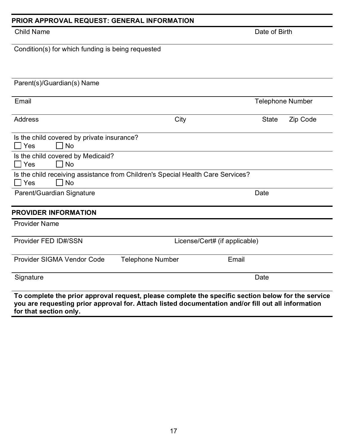| <b>Child Name</b>                                                                                                                                                                                        |                         |                               | Date of Birth           |          |
|----------------------------------------------------------------------------------------------------------------------------------------------------------------------------------------------------------|-------------------------|-------------------------------|-------------------------|----------|
| Condition(s) for which funding is being requested                                                                                                                                                        |                         |                               |                         |          |
|                                                                                                                                                                                                          |                         |                               |                         |          |
| Parent(s)/Guardian(s) Name                                                                                                                                                                               |                         |                               |                         |          |
| Email                                                                                                                                                                                                    |                         |                               | <b>Telephone Number</b> |          |
| <b>Address</b>                                                                                                                                                                                           |                         | City                          | <b>State</b>            | Zip Code |
| Is the child covered by private insurance?<br><b>No</b><br>Yes                                                                                                                                           |                         |                               |                         |          |
| Is the child covered by Medicaid?<br><b>No</b><br>Yes                                                                                                                                                    |                         |                               |                         |          |
| Is the child receiving assistance from Children's Special Health Care Services?<br><b>No</b><br>Yes<br>$\Box$                                                                                            |                         |                               |                         |          |
| Parent/Guardian Signature                                                                                                                                                                                |                         |                               | Date                    |          |
| <b>PROVIDER INFORMATION</b>                                                                                                                                                                              |                         |                               |                         |          |
| <b>Provider Name</b>                                                                                                                                                                                     |                         |                               |                         |          |
| Provider FED ID#/SSN                                                                                                                                                                                     |                         | License/Cert# (if applicable) |                         |          |
| Provider SIGMA Vendor Code                                                                                                                                                                               | <b>Telephone Number</b> | Email                         |                         |          |
| Signature                                                                                                                                                                                                |                         |                               | Date                    |          |
| To complete the prior approval request, please complete the specific section below for the service<br>you are requesting prior approval for. Attach listed documentation and/or fill out all information |                         |                               |                         |          |

<span id="page-16-0"></span>**PRIOR APPROVAL REQUEST: GENERAL INFORMATION**

**for that section only.**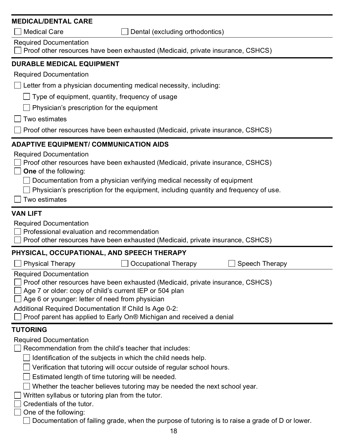| <b>Medical Care</b><br>Dental (excluding orthodontics)<br><b>Required Documentation</b><br>Proof other resources have been exhausted (Medicaid, private insurance, CSHCS)<br><b>DURABLE MEDICAL EQUIPMENT</b><br><b>Required Documentation</b><br>Letter from a physician documenting medical necessity, including:<br>Type of equipment, quantity, frequency of usage<br>Physician's prescription for the equipment<br>Two estimates<br>Proof other resources have been exhausted (Medicaid, private insurance, CSHCS)<br><b>ADAPTIVE EQUIPMENT/ COMMUNICATION AIDS</b><br><b>Required Documentation</b><br>Proof other resources have been exhausted (Medicaid, private insurance, CSHCS)<br><b>One</b> of the following:<br>Documentation from a physician verifying medical necessity of equipment<br>Physician's prescription for the equipment, including quantity and frequency of use.<br>Two estimates<br><b>VAN LIFT</b><br><b>Required Documentation</b><br>Professional evaluation and recommendation<br>Proof other resources have been exhausted (Medicaid, private insurance, CSHCS)<br>PHYSICAL, OCCUPATIONAL, AND SPEECH THERAPY<br>Speech Therapy<br><b>Physical Therapy</b><br>Occupational Therapy<br><b>Required Documentation</b><br>Proof other resources have been exhausted (Medicaid, private insurance, CSHCS)<br>Age 7 or older: copy of child's current IEP or 504 plan<br>Age 6 or younger: letter of need from physician<br>Additional Required Documentation If Child Is Age 0-2:<br>Proof parent has applied to Early On® Michigan and received a denial<br><b>TUTORING</b><br><b>Required Documentation</b><br>Recommendation from the child's teacher that includes:<br>Identification of the subjects in which the child needs help.<br>Verification that tutoring will occur outside of regular school hours.<br>Estimated length of time tutoring will be needed.<br>Whether the teacher believes tutoring may be needed the next school year.<br>Written syllabus or tutoring plan from the tutor.<br>Credentials of the tutor.<br>One of the following:<br>Documentation of failing grade, when the purpose of tutoring is to raise a grade of D or lower. | <b>MEDICAL/DENTAL CARE</b> |  |  |  |  |  |
|----------------------------------------------------------------------------------------------------------------------------------------------------------------------------------------------------------------------------------------------------------------------------------------------------------------------------------------------------------------------------------------------------------------------------------------------------------------------------------------------------------------------------------------------------------------------------------------------------------------------------------------------------------------------------------------------------------------------------------------------------------------------------------------------------------------------------------------------------------------------------------------------------------------------------------------------------------------------------------------------------------------------------------------------------------------------------------------------------------------------------------------------------------------------------------------------------------------------------------------------------------------------------------------------------------------------------------------------------------------------------------------------------------------------------------------------------------------------------------------------------------------------------------------------------------------------------------------------------------------------------------------------------------------------------------------------------------------------------------------------------------------------------------------------------------------------------------------------------------------------------------------------------------------------------------------------------------------------------------------------------------------------------------------------------------------------------------------------------------------------------------------------------------------------------------------------------|----------------------------|--|--|--|--|--|
|                                                                                                                                                                                                                                                                                                                                                                                                                                                                                                                                                                                                                                                                                                                                                                                                                                                                                                                                                                                                                                                                                                                                                                                                                                                                                                                                                                                                                                                                                                                                                                                                                                                                                                                                                                                                                                                                                                                                                                                                                                                                                                                                                                                                    |                            |  |  |  |  |  |
|                                                                                                                                                                                                                                                                                                                                                                                                                                                                                                                                                                                                                                                                                                                                                                                                                                                                                                                                                                                                                                                                                                                                                                                                                                                                                                                                                                                                                                                                                                                                                                                                                                                                                                                                                                                                                                                                                                                                                                                                                                                                                                                                                                                                    |                            |  |  |  |  |  |
|                                                                                                                                                                                                                                                                                                                                                                                                                                                                                                                                                                                                                                                                                                                                                                                                                                                                                                                                                                                                                                                                                                                                                                                                                                                                                                                                                                                                                                                                                                                                                                                                                                                                                                                                                                                                                                                                                                                                                                                                                                                                                                                                                                                                    |                            |  |  |  |  |  |
|                                                                                                                                                                                                                                                                                                                                                                                                                                                                                                                                                                                                                                                                                                                                                                                                                                                                                                                                                                                                                                                                                                                                                                                                                                                                                                                                                                                                                                                                                                                                                                                                                                                                                                                                                                                                                                                                                                                                                                                                                                                                                                                                                                                                    |                            |  |  |  |  |  |
|                                                                                                                                                                                                                                                                                                                                                                                                                                                                                                                                                                                                                                                                                                                                                                                                                                                                                                                                                                                                                                                                                                                                                                                                                                                                                                                                                                                                                                                                                                                                                                                                                                                                                                                                                                                                                                                                                                                                                                                                                                                                                                                                                                                                    |                            |  |  |  |  |  |
|                                                                                                                                                                                                                                                                                                                                                                                                                                                                                                                                                                                                                                                                                                                                                                                                                                                                                                                                                                                                                                                                                                                                                                                                                                                                                                                                                                                                                                                                                                                                                                                                                                                                                                                                                                                                                                                                                                                                                                                                                                                                                                                                                                                                    |                            |  |  |  |  |  |
|                                                                                                                                                                                                                                                                                                                                                                                                                                                                                                                                                                                                                                                                                                                                                                                                                                                                                                                                                                                                                                                                                                                                                                                                                                                                                                                                                                                                                                                                                                                                                                                                                                                                                                                                                                                                                                                                                                                                                                                                                                                                                                                                                                                                    |                            |  |  |  |  |  |
|                                                                                                                                                                                                                                                                                                                                                                                                                                                                                                                                                                                                                                                                                                                                                                                                                                                                                                                                                                                                                                                                                                                                                                                                                                                                                                                                                                                                                                                                                                                                                                                                                                                                                                                                                                                                                                                                                                                                                                                                                                                                                                                                                                                                    |                            |  |  |  |  |  |
|                                                                                                                                                                                                                                                                                                                                                                                                                                                                                                                                                                                                                                                                                                                                                                                                                                                                                                                                                                                                                                                                                                                                                                                                                                                                                                                                                                                                                                                                                                                                                                                                                                                                                                                                                                                                                                                                                                                                                                                                                                                                                                                                                                                                    |                            |  |  |  |  |  |
|                                                                                                                                                                                                                                                                                                                                                                                                                                                                                                                                                                                                                                                                                                                                                                                                                                                                                                                                                                                                                                                                                                                                                                                                                                                                                                                                                                                                                                                                                                                                                                                                                                                                                                                                                                                                                                                                                                                                                                                                                                                                                                                                                                                                    |                            |  |  |  |  |  |
|                                                                                                                                                                                                                                                                                                                                                                                                                                                                                                                                                                                                                                                                                                                                                                                                                                                                                                                                                                                                                                                                                                                                                                                                                                                                                                                                                                                                                                                                                                                                                                                                                                                                                                                                                                                                                                                                                                                                                                                                                                                                                                                                                                                                    |                            |  |  |  |  |  |
|                                                                                                                                                                                                                                                                                                                                                                                                                                                                                                                                                                                                                                                                                                                                                                                                                                                                                                                                                                                                                                                                                                                                                                                                                                                                                                                                                                                                                                                                                                                                                                                                                                                                                                                                                                                                                                                                                                                                                                                                                                                                                                                                                                                                    |                            |  |  |  |  |  |
|                                                                                                                                                                                                                                                                                                                                                                                                                                                                                                                                                                                                                                                                                                                                                                                                                                                                                                                                                                                                                                                                                                                                                                                                                                                                                                                                                                                                                                                                                                                                                                                                                                                                                                                                                                                                                                                                                                                                                                                                                                                                                                                                                                                                    |                            |  |  |  |  |  |
|                                                                                                                                                                                                                                                                                                                                                                                                                                                                                                                                                                                                                                                                                                                                                                                                                                                                                                                                                                                                                                                                                                                                                                                                                                                                                                                                                                                                                                                                                                                                                                                                                                                                                                                                                                                                                                                                                                                                                                                                                                                                                                                                                                                                    |                            |  |  |  |  |  |
|                                                                                                                                                                                                                                                                                                                                                                                                                                                                                                                                                                                                                                                                                                                                                                                                                                                                                                                                                                                                                                                                                                                                                                                                                                                                                                                                                                                                                                                                                                                                                                                                                                                                                                                                                                                                                                                                                                                                                                                                                                                                                                                                                                                                    |                            |  |  |  |  |  |
|                                                                                                                                                                                                                                                                                                                                                                                                                                                                                                                                                                                                                                                                                                                                                                                                                                                                                                                                                                                                                                                                                                                                                                                                                                                                                                                                                                                                                                                                                                                                                                                                                                                                                                                                                                                                                                                                                                                                                                                                                                                                                                                                                                                                    |                            |  |  |  |  |  |
|                                                                                                                                                                                                                                                                                                                                                                                                                                                                                                                                                                                                                                                                                                                                                                                                                                                                                                                                                                                                                                                                                                                                                                                                                                                                                                                                                                                                                                                                                                                                                                                                                                                                                                                                                                                                                                                                                                                                                                                                                                                                                                                                                                                                    |                            |  |  |  |  |  |
|                                                                                                                                                                                                                                                                                                                                                                                                                                                                                                                                                                                                                                                                                                                                                                                                                                                                                                                                                                                                                                                                                                                                                                                                                                                                                                                                                                                                                                                                                                                                                                                                                                                                                                                                                                                                                                                                                                                                                                                                                                                                                                                                                                                                    | 18                         |  |  |  |  |  |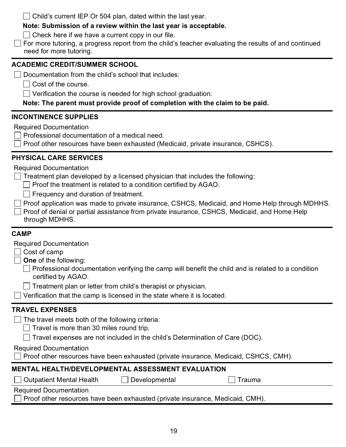$\Box$  Child's current IEP Or 504 plan, dated within the last year.

## **Note: Submission of a review within the last year is acceptable.**

 $\Box$  Check here if we have a current copy in our file.

 $\Box$  For more tutoring, a progress report from the child's teacher evaluating the results of and continued need for more tutoring.

## **ACADEMIC CREDIT/SUMMER SCHOOL**

 $\Box$  Documentation from the child's school that includes:

 $\Box$  Cost of the course.

Verification the course is needed for high school graduation.

**Note: The parent must provide proof of completion with the claim to be paid.**

## **INCONTINENCE SUPPLIES**

Required Documentation

 $\Box$  Professional documentation of a medical need.

Proof other resources have been exhausted (Medicaid, private insurance, CSHCS).

## **PHYSICAL CARE SERVICES**

Required Documentation

 $\Box$  Treatment plan developed by a licensed physician that includes the following:

 $\Box$  Proof the treatment is related to a condition certified by AGAO.

 $\Box$  Frequency and duration of treatment.

 $\Box$  Proof application was made to private insurance, CSHCS, Medicaid, and Home Help through MDHHS.

 $\Box$  Proof of denial or partial assistance from private insurance, CSHCS, Medicaid, and Home Help through MDHHS.

## **CAMP**

Required Documentation

Cost of camp

**One** of the following:

 $\Box$  Professional documentation verifying the camp will benefit the child and is related to a condition certified by AGAO.

 $\Box$  Treatment plan or letter from child's therapist or physician.

 $\Box$  Verification that the camp is licensed in the state where it is located.

## **TRAVEL EXPENSES**

 $\Box$  The travel meets both of the following criteria:

 $\Box$  Travel is more than 30 miles round trip.

 $\Box$  Travel expenses are not included in the child's Determination of Care (DOC).

Required Documentation

 $\Box$  Proof other resources have been exhausted (private insurance, Medicaid, CSHCS, CMH).

## **MENTAL HEALTH/DEVELOPMENTAL ASSESSMENT EVALUATION**

| □ Outpatient Mental Heal |
|--------------------------|
|--------------------------|

Ith  $\Box$  Developmental  $\Box$  Trauma

Required Documentation

**Proof other resources have been exhausted (private insurance, Medicaid, CMH).**